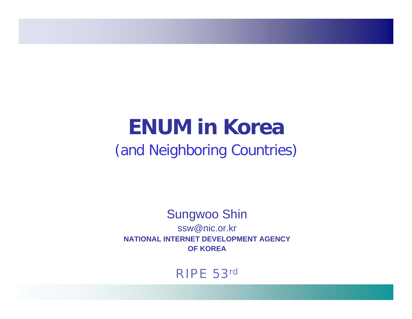## **ENUM in Korea**(and Neighboring Countries)

#### Sungwoo Shin ssw@nic.or.kr **NATIONAL INTERNET DEVELOPMENT AGENCYOF KOREA**

#### RIPE 53rd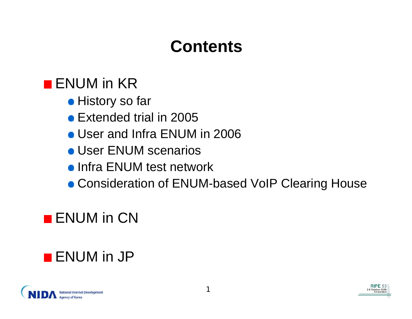## **Contents**

### **ENUM** in KR

- **History so far**
- Extended trial in 2005
- User and Infra ENUM in 2006
- **User ENUM scenarios**
- **Infra ENUM test network**
- Consideration of ENUM-based VoIP Clearing House

### **ENUM** in CN

### **ENUM** in JP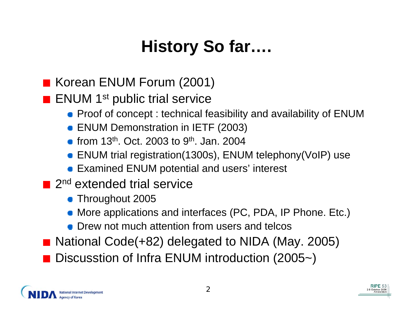## **History So far….**

- Korean ENUM Forum (2001)
- **ENUM** 1<sup>st</sup> public trial service
	- **Proof of concept : technical feasibility and availability of ENUM**
	- ENUM Demonstration in IETF (2003)
	- from 13<sup>th</sup>. Oct. 2003 to 9<sup>th</sup>. Jan. 2004
	- ENUM trial registration(1300s), ENUM telephony(VoIP) use
	- **Examined ENUM potential and users' interest**
- $\blacksquare$  2<sup>nd</sup> extended trial service
	- **Throughout 2005**
	- More applications and interfaces (PC, PDA, IP Phone. Etc.)
	- **Drew not much attention from users and telcos**
- National Code(+82) delegated to NIDA (May. 2005) Discusstion of Infra ENUM introduction (2005~)

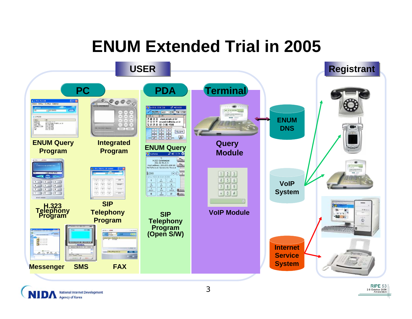### **ENUM Extended Trial in 2005**



**National Internet Development Agency of Korea** 

2-6 October 2006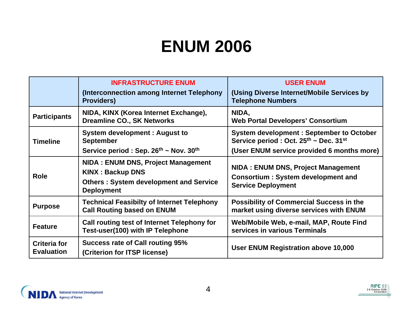### **ENUM 2006**

|                                          | <b>INFRASTRUCTURE ENUM</b><br>(Interconnection among Internet Telephony<br><b>Providers)</b>                                        | <b>USER ENUM</b><br>(Using Diverse Internet/Mobile Services by<br><b>Telephone Numbers</b>                          |
|------------------------------------------|-------------------------------------------------------------------------------------------------------------------------------------|---------------------------------------------------------------------------------------------------------------------|
| <b>Participants</b>                      | NIDA, KINX (Korea Internet Exchange),<br><b>Dreamline CO., SK Networks</b>                                                          | NIDA,<br><b>Web Portal Developers' Consortium</b>                                                                   |
| <b>Timeline</b>                          | <b>System development: August to</b><br><b>September</b>                                                                            | <b>System development: September to October</b><br>Service period: Oct. 25th ~ Dec. 31st                            |
|                                          | Service period : Sep. $26^{th}$ ~ Nov. $30^{th}$                                                                                    | (User ENUM service provided 6 months more)                                                                          |
| <b>Role</b>                              | NIDA: ENUM DNS, Project Management<br><b>KINX: Backup DNS</b><br><b>Others: System development and Service</b><br><b>Deployment</b> | <b>NIDA: ENUM DNS, Project Management</b><br><b>Consortium: System development and</b><br><b>Service Deployment</b> |
| <b>Purpose</b>                           | <b>Technical Feasibilty of Internet Telephony</b><br><b>Call Routing based on ENUM</b>                                              | <b>Possibility of Commercial Success in the</b><br>market using diverse services with ENUM                          |
| <b>Feature</b>                           | Call routing test of Internet Telephony for<br>Test-user(100) with IP Telephone                                                     | Web/Mobile Web, e-mail, MAP, Route Find<br>services in various Terminals                                            |
| <b>Criteria for</b><br><b>Evaluation</b> | <b>Success rate of Call routing 95%</b><br>(Criterion for ITSP license)                                                             | User ENUM Registration above 10,000                                                                                 |

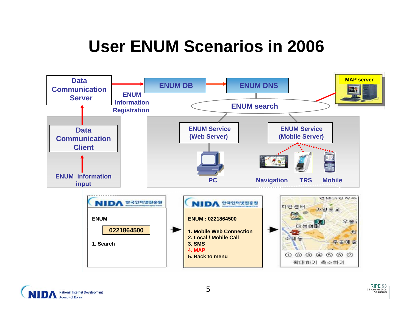## **User ENUM Scenarios in 2006**



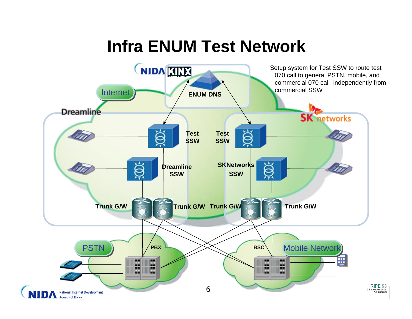### **Infra ENUM Test Network**

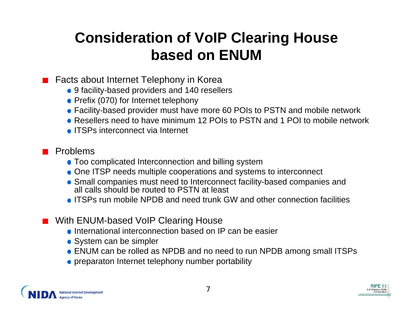### **Consideration of VoIP Clearing House based on ENUM**

Facts about Internet Telephony in Korea

- 9 facility-based providers and 140 resellers
- Prefix (070) for Internet telephony
- Facility-based provider must have more 60 POIs to PSTN and mobile network
- Resellers need to have minimum 12 POIs to PSTN and 1 POI to mobile network
- ITSPs interconnect via Internet

#### Problems

- Too complicated Interconnection and billing system
- One ITSP needs multiple cooperations and systems to interconnect
- Small companies must need to Interconnect facility-based companies and all calls should be routed to PSTN at least
- ITSPs run mobile NPDB and need trunk GW and other connection facilities
- With ENUM-based VoIP Clearing House
	- **International interconnection based on IP can be easier**
	- System can be simpler
	- ENUM can be rolled as NPDB and no need to run NPDB among small ITSPs
	- **•** preparaton Internet telephony number portability

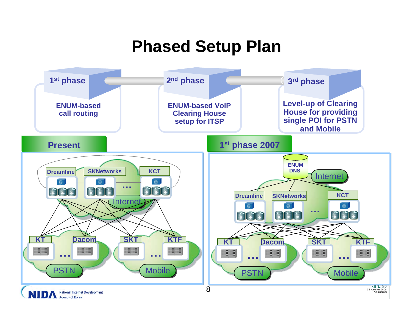### **Phased Setup Plan**

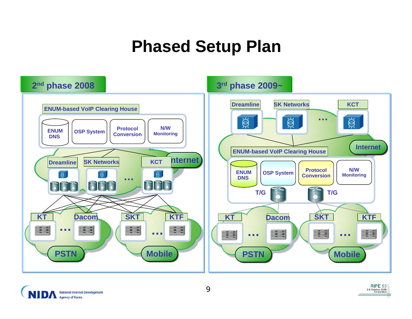### **Phased Setup Plan**



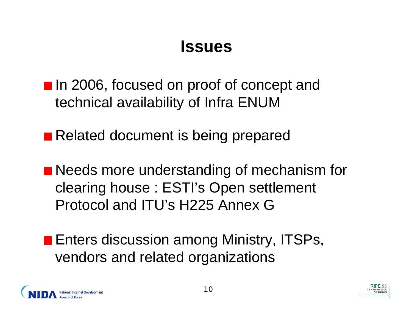### **Issues**

■ In 2006, focused on proof of concept and technical availability of Infra ENUM

■ Related document is being prepared

■ Needs more understanding of mechanism for clearing house : ESTI's Open settlement Protocol and ITU's H225 Annex G

**Enters discussion among Ministry, ITSPs,** vendors and related organizations

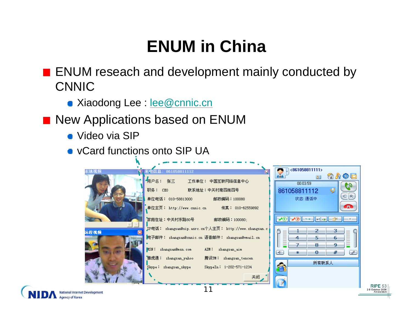## **ENUM in China**

**ENUM reseach and development mainly conducted by** CNNIC

- **Xiaodong Lee : lee @cnnic.cn**
- **New Applications based on ENUM** 
	- Video via SIP
	- vCard functions onto SIP UA

| 本境視頻 | <b>にもいちゃく 861058811112</b>                             | <861058811111>                       |
|------|--------------------------------------------------------|--------------------------------------|
|      | ◆用户名: 张三<br>- 工作单位: 中国互联网络信息中心                         | 介力の口<br>$8 =$<br>00:03:59            |
|      | 职务: CEO<br>联系地址:中关村南四街四号                               | 861058811112<br>₩                    |
|      | 邮政编码:100080                                            | C R<br>状态: 通话中                       |
|      | 单位主页: http://www.cnnic.cn    传真: 010-62559892          | o Tu                                 |
|      | 家庭住址:中关村东路80号<br>邮政编码: 100080;                         | li∝£xa                               |
| 远程視頻 | JP电话: zhangsan@sip.asrc.cn个人主页: http://www.zhangsan.c. | 2<br>з                               |
|      | 电子邮件: zhangsan@cnnic.cn 语音邮件: zhangsan@vmail.cn        | −<br>−<br>4<br>5<br>6<br>▅           |
|      | MSN: zhangsan@msn.com AIM: zhangsan_aim                | 7<br>а<br>-9.<br>#<br>[∢⊱]<br>o<br>₽ |
|      | 雅虎通: zhangsan_yahoo<br>腾讯TM: zhangsan_tencen           |                                      |
|      | Skype: zhangsan_skype<br>SkypeIn: 1-202-571-1234       | 所有联系人                                |
|      | 关闭                                                     |                                      |
|      |                                                        |                                      |

**National Internet Developme Agency of Korea**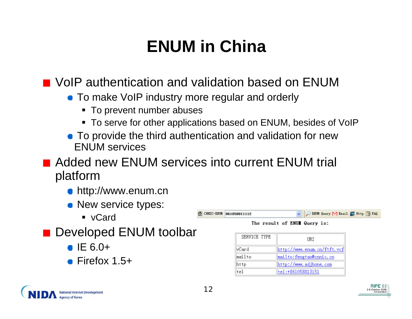## **ENUM in China**

**Nole authentication and validation based on ENUM** 

- **To make VoIP industry more regular and orderly** 
	- To prevent number abuses
	- To serve for other applications based on ENUM, besides of VoIP

CINTC-EXUM 861058811111

|tel

**To provide the third authentication and validation for new** ENUM services

Added new ENUM services into current ENUM trial platform

- **http://www.enum.cn**
- New service types:
	- vCard
- Developed ENUM toolbar
	- $\bullet$  IE 6.0+
	- $\blacksquare$  Firefox 1.5+

| The result of ENUI Query is: |                             |  |  |  |
|------------------------------|-----------------------------|--|--|--|
| SERVICE TYPE                 | URI                         |  |  |  |
| vCard                        | http://www.enum.cn/ftft.vcf |  |  |  |
| mailto                       | mailto: fengtao@cnnic.cn    |  |  |  |
| http                         | http://www.adjhone.com      |  |  |  |

tel:+861058813151

U DENIM Onery M Fasil C Http. 7 FAO

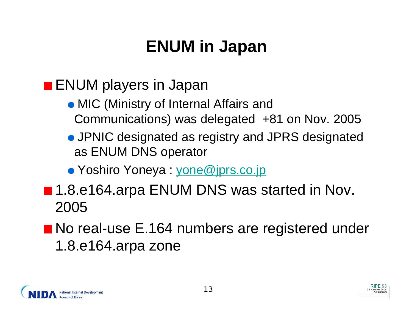## **ENUM in Japan**

### **ENUM** players in Japan

- MIC (Ministry of Internal Affairs and Communications) was delegated +81 on Nov. 2005
- JPNIC designated as registry and JPRS designated as ENUM DNS operator
- Yoshiro Yoneya : [yone@jprs.co.jp](mailto:yone@jprs.co.jp)
- 1.8.e164.arpa ENUM DNS was started in Nov. 2005

### ■ No real-use E.164 numbers are registered under 1.8.e164.arpa zone

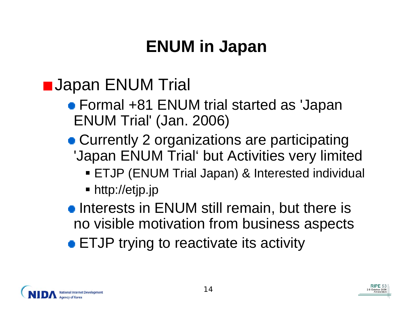## **ENUM in Japan**

### **L** Japan ENUM Trial

- Formal +81 ENUM trial started as 'Japan ENUM Trial' (Jan. 2006)
- Currently 2 organizations are participating 'Japan ENUM Trial' but Activities very limited
	- ETJP (ENUM Trial Japan) & Interested individual
	- http://etjp.jp
- **Interests in ENUM still remain, but there is** no visible motivation from business aspects
- **ETJP** trying to reactivate its activity